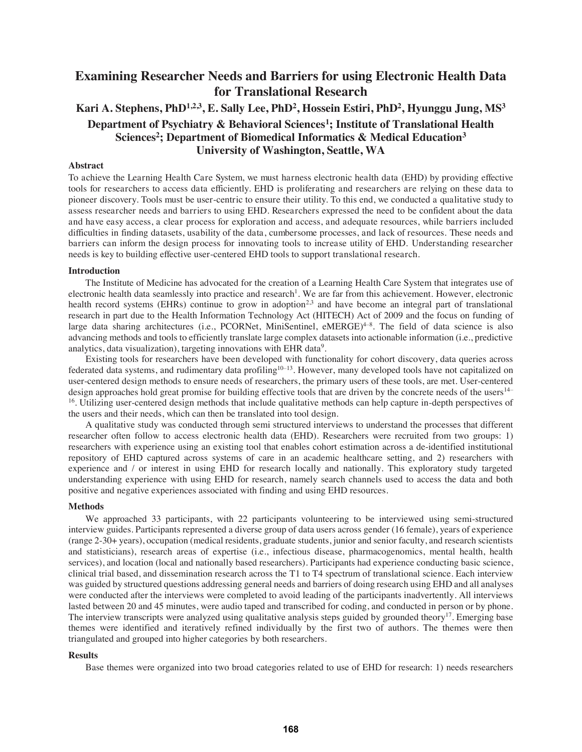# **Examining Researcher Needs and Barriers for using Electronic Health Data for Translational Research**

# Kari A. Stephens, PhD<sup>1,2,3</sup>, E. Sally Lee, PhD<sup>2</sup>, Hossein Estiri, PhD<sup>2</sup>, Hyunggu Jung, MS<sup>3</sup> **Department of Psychiatry & Behavioral Sciences<sup>1</sup>; Institute of Translational Health** Sciences<sup>2</sup>; Department of Biomedical Informatics & Medical Education<sup>3</sup> **University of Washington, Seattle, WA**

## **Abstract**

To achieve the Learning Health Care System, we must harness electronic health data (EHD) by providing effective tools for researchers to access data efficiently. EHD is proliferating and researchers are relying on these data to pioneer discovery. Tools must be user-centric to ensure their utility. To this end, we conducted a qualitative study to assess researcher needs and barriers to using EHD. Researchers expressed the need to be confident about the data and have easy access, a clear process for exploration and access, and adequate resources, while barriers included difficulties in finding datasets, usability of the data, cumbersome processes, and lack of resources. These needs and barriers can inform the design process for innovating tools to increase utility of EHD. Understanding researcher needs is key to building effective user-centered EHD tools to support translational research.

#### **Introduction**

The Institute of Medicine has advocated for the creation of a Learning Health Care System that integrates use of electronic health data seamlessly into practice and research<sup>1</sup>. We are far from this achievement. However, electronic health record systems (EHRs) continue to grow in adoption<sup>2,3</sup> and have become an integral part of translational research in part due to the Health Information Technology Act (HITECH) Act of 2009 and the focus on funding of large data sharing architectures (i.e., PCORNet, MiniSentinel, eMERGE)<sup>4-8</sup>. The field of data science is also advancing methods and tools to efficiently translate large complex datasets into actionable information (i.e., predictive analytics, data visualization), targeting innovations with EHR data<sup>9</sup>.

Existing tools for researchers have been developed with functionality for cohort discovery, data queries across federated data systems, and rudimentary data profiling<sup>10-13</sup>. However, many developed tools have not capitalized on user-centered design methods to ensure needs of researchers, the primary users of these tools, are met. User-centered design approaches hold great promise for building effective tools that are driven by the concrete needs of the users<sup>14-</sup> <sup>16</sup>. Utilizing user-centered design methods that include qualitative methods can help capture in-depth perspectives of the users and their needs, which can then be translated into tool design.

A qualitative study was conducted through semi structured interviews to understand the processes that different researcher often follow to access electronic health data (EHD). Researchers were recruited from two groups: 1) researchers with experience using an existing tool that enables cohort estimation across a de-identified institutional repository of EHD captured across systems of care in an academic healthcare setting, and 2) researchers with experience and / or interest in using EHD for research locally and nationally. This exploratory study targeted understanding experience with using EHD for research, namely search channels used to access the data and both positive and negative experiences associated with finding and using EHD resources.

### **Methods**

We approached 33 participants, with 22 participants volunteering to be interviewed using semi-structured interview guides. Participants represented a diverse group of data users across gender (16 female), years of experience (range 2-30+ years), occupation (medical residents, graduate students, junior and senior faculty, and research scientists and statisticians), research areas of expertise (i.e., infectious disease, pharmacogenomics, mental health, health services), and location (local and nationally based researchers). Participants had experience conducting basic science, clinical trial based, and dissemination research across the T1 to T4 spectrum of translational science. Each interview was guided by structured questions addressing general needs and barriers of doing research using EHD and all analyses were conducted after the interviews were completed to avoid leading of the participants inadvertently. All interviews lasted between 20 and 45 minutes, were audio taped and transcribed for coding, and conducted in person or by phone. The interview transcripts were analyzed using qualitative analysis steps guided by grounded theory<sup>17</sup>. Emerging base themes were identified and iteratively refined individually by the first two of authors. The themes were then triangulated and grouped into higher categories by both researchers.

#### **Results**

Base themes were organized into two broad categories related to use of EHD for research: 1) needs researchers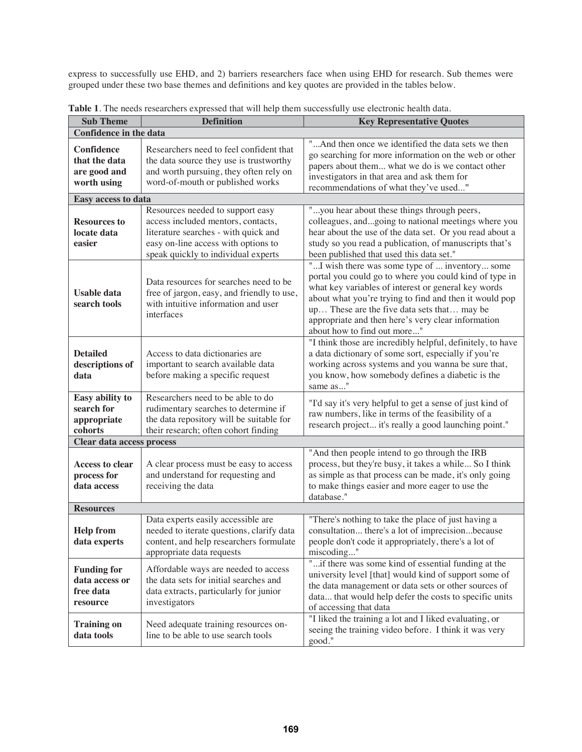express to successfully use EHD, and 2) barriers researchers face when using EHD for research. Sub themes were grouped under these two base themes and definitions and key quotes are provided in the tables below.

| <b>Sub Theme</b>                                              | <b>Definition</b>                                                                                                                                                                            | <b>Key Representative Quotes</b>                                                                                                                                                                                                                                                                                                                              |
|---------------------------------------------------------------|----------------------------------------------------------------------------------------------------------------------------------------------------------------------------------------------|---------------------------------------------------------------------------------------------------------------------------------------------------------------------------------------------------------------------------------------------------------------------------------------------------------------------------------------------------------------|
| <b>Confidence in the data</b>                                 |                                                                                                                                                                                              |                                                                                                                                                                                                                                                                                                                                                               |
| Confidence<br>that the data<br>are good and<br>worth using    | Researchers need to feel confident that<br>the data source they use is trustworthy<br>and worth pursuing, they often rely on<br>word-of-mouth or published works                             | "And then once we identified the data sets we then<br>go searching for more information on the web or other<br>papers about them what we do is we contact other<br>investigators in that area and ask them for<br>recommendations of what they've used"                                                                                                       |
| Easy access to data                                           |                                                                                                                                                                                              |                                                                                                                                                                                                                                                                                                                                                               |
| <b>Resources to</b><br>locate data<br>easier                  | Resources needed to support easy<br>access included mentors, contacts,<br>literature searches - with quick and<br>easy on-line access with options to<br>speak quickly to individual experts | "you hear about these things through peers,<br>colleagues, andgoing to national meetings where you<br>hear about the use of the data set. Or you read about a<br>study so you read a publication, of manuscripts that's<br>been published that used this data set."                                                                                           |
| <b>Usable data</b><br>search tools                            | Data resources for searches need to be<br>free of jargon, easy, and friendly to use,<br>with intuitive information and user<br>interfaces                                                    | "I wish there was some type of  inventory some<br>portal you could go to where you could kind of type in<br>what key variables of interest or general key words<br>about what you're trying to find and then it would pop<br>up These are the five data sets that may be<br>appropriate and then here's very clear information<br>about how to find out more" |
| <b>Detailed</b><br>descriptions of<br>data                    | Access to data dictionaries are<br>important to search available data<br>before making a specific request                                                                                    | "I think those are incredibly helpful, definitely, to have<br>a data dictionary of some sort, especially if you're<br>working across systems and you wanna be sure that,<br>you know, how somebody defines a diabetic is the<br>same as"                                                                                                                      |
| Easy ability to<br>search for<br>appropriate<br>cohorts       | Researchers need to be able to do<br>rudimentary searches to determine if<br>the data repository will be suitable for<br>their research; often cohort finding                                | "I'd say it's very helpful to get a sense of just kind of<br>raw numbers, like in terms of the feasibility of a<br>research project it's really a good launching point."                                                                                                                                                                                      |
| Clear data access process                                     |                                                                                                                                                                                              |                                                                                                                                                                                                                                                                                                                                                               |
| <b>Access to clear</b><br>process for<br>data access          | A clear process must be easy to access<br>and understand for requesting and<br>receiving the data                                                                                            | "And then people intend to go through the IRB<br>process, but they're busy, it takes a while So I think<br>as simple as that process can be made, it's only going<br>to make things easier and more eager to use the<br>database."                                                                                                                            |
| <b>Resources</b>                                              |                                                                                                                                                                                              |                                                                                                                                                                                                                                                                                                                                                               |
| <b>Help from</b><br>data experts                              | Data experts easily accessible are<br>needed to iterate questions, clarify data<br>content, and help researchers formulate<br>appropriate data requests                                      | "There's nothing to take the place of just having a<br>consultation there's a lot of imprecisionbecause<br>people don't code it appropriately, there's a lot of<br>miscoding"                                                                                                                                                                                 |
| <b>Funding for</b><br>data access or<br>free data<br>resource | Affordable ways are needed to access<br>the data sets for initial searches and<br>data extracts, particularly for junior<br>investigators                                                    | "if there was some kind of essential funding at the<br>university level [that] would kind of support some of<br>the data management or data sets or other sources of<br>data that would help defer the costs to specific units<br>of accessing that data                                                                                                      |
| <b>Training on</b><br>data tools                              | Need adequate training resources on-<br>line to be able to use search tools                                                                                                                  | "I liked the training a lot and I liked evaluating, or<br>seeing the training video before. I think it was very<br>good."                                                                                                                                                                                                                                     |

**Table 1**. The needs researchers expressed that will help them successfully use electronic health data.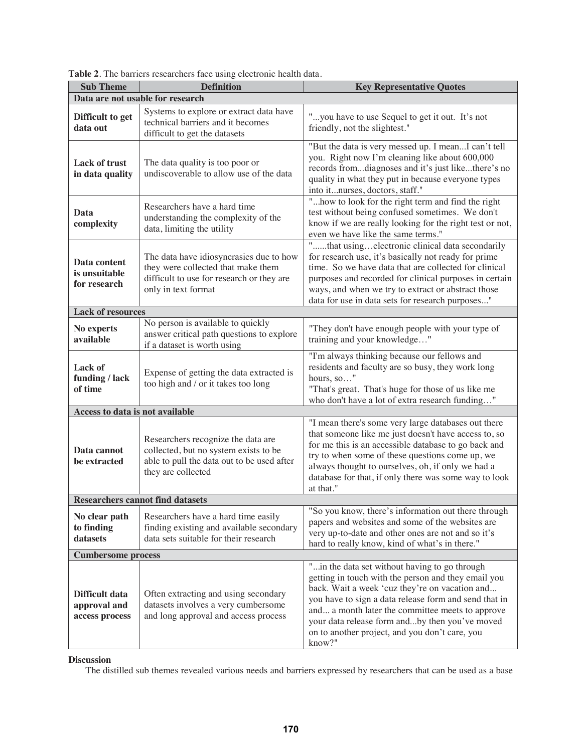| <b>Sub Theme</b>                                 | <b>Definition</b>                                                                                                                                 | <b>Key Representative Quotes</b>                                                                                                                                                                                                                                                                                                                                                  |  |  |
|--------------------------------------------------|---------------------------------------------------------------------------------------------------------------------------------------------------|-----------------------------------------------------------------------------------------------------------------------------------------------------------------------------------------------------------------------------------------------------------------------------------------------------------------------------------------------------------------------------------|--|--|
|                                                  | Data are not usable for research                                                                                                                  |                                                                                                                                                                                                                                                                                                                                                                                   |  |  |
| Difficult to get<br>data out                     | Systems to explore or extract data have<br>technical barriers and it becomes<br>difficult to get the datasets                                     | "you have to use Sequel to get it out. It's not<br>friendly, not the slightest."                                                                                                                                                                                                                                                                                                  |  |  |
| Lack of trust<br>in data quality                 | The data quality is too poor or<br>undiscoverable to allow use of the data                                                                        | "But the data is very messed up. I meanI can't tell<br>you. Right now I'm cleaning like about 600,000<br>records fromdiagnoses and it's just likethere's no<br>quality in what they put in because everyone types<br>into itnurses, doctors, staff."                                                                                                                              |  |  |
| Data<br>complexity                               | Researchers have a hard time<br>understanding the complexity of the<br>data, limiting the utility                                                 | " how to look for the right term and find the right<br>test without being confused sometimes. We don't<br>know if we are really looking for the right test or not,<br>even we have like the same terms."                                                                                                                                                                          |  |  |
| Data content<br>is unsuitable<br>for research    | The data have idiosyncrasies due to how<br>they were collected that make them<br>difficult to use for research or they are<br>only in text format | "that usingelectronic clinical data secondarily<br>for research use, it's basically not ready for prime<br>time. So we have data that are collected for clinical<br>purposes and recorded for clinical purposes in certain<br>ways, and when we try to extract or abstract those<br>data for use in data sets for research purposes"                                              |  |  |
| <b>Lack of resources</b>                         |                                                                                                                                                   |                                                                                                                                                                                                                                                                                                                                                                                   |  |  |
| No experts<br>available                          | No person is available to quickly<br>answer critical path questions to explore<br>if a dataset is worth using                                     | "They don't have enough people with your type of<br>training and your knowledge"                                                                                                                                                                                                                                                                                                  |  |  |
| <b>Lack of</b><br>funding / lack<br>of time      | Expense of getting the data extracted is<br>too high and / or it takes too long                                                                   | "I'm always thinking because our fellows and<br>residents and faculty are so busy, they work long<br>hours, so"<br>"That's great. That's huge for those of us like me<br>who don't have a lot of extra research funding"                                                                                                                                                          |  |  |
| Access to data is not available                  |                                                                                                                                                   |                                                                                                                                                                                                                                                                                                                                                                                   |  |  |
| Data cannot<br>be extracted                      | Researchers recognize the data are<br>collected, but no system exists to be<br>able to pull the data out to be used after<br>they are collected   | "I mean there's some very large databases out there<br>that someone like me just doesn't have access to, so<br>for me this is an accessible database to go back and<br>try to when some of these questions come up, we<br>always thought to ourselves, oh, if only we had a<br>database for that, if only there was some way to look<br>at that."                                 |  |  |
|                                                  | <b>Researchers cannot find datasets</b>                                                                                                           |                                                                                                                                                                                                                                                                                                                                                                                   |  |  |
| No clear path<br>to finding<br>datasets          | Researchers have a hard time easily<br>finding existing and available secondary<br>data sets suitable for their research                          | "So you know, there's information out there through<br>papers and websites and some of the websites are<br>very up-to-date and other ones are not and so it's<br>hard to really know, kind of what's in there."                                                                                                                                                                   |  |  |
| <b>Cumbersome process</b>                        |                                                                                                                                                   |                                                                                                                                                                                                                                                                                                                                                                                   |  |  |
| Difficult data<br>approval and<br>access process | Often extracting and using secondary<br>datasets involves a very cumbersome<br>and long approval and access process                               | "in the data set without having to go through<br>getting in touch with the person and they email you<br>back. Wait a week 'cuz they're on vacation and<br>you have to sign a data release form and send that in<br>and a month later the committee meets to approve<br>your data release form andby then you've moved<br>on to another project, and you don't care, you<br>know?" |  |  |

**Table 2**. The barriers researchers face using electronic health data.

**Discussion** 

The distilled sub themes revealed various needs and barriers expressed by researchers that can be used as a base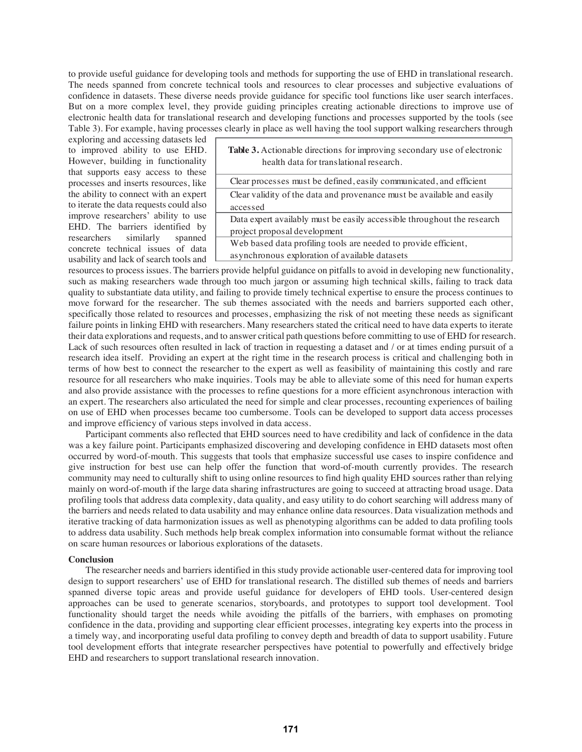to provide useful guidance for developing tools and methods for supporting the use of EHD in translational research. The needs spanned from concrete technical tools and resources to clear processes and subjective evaluations of confidence in datasets. These diverse needs provide guidance for specific tool functions like user search interfaces. But on a more complex level, they provide guiding principles creating actionable directions to improve use of electronic health data for translational research and developing functions and processes supported by the tools (see Table 3). For example, having processes clearly in place as well having the tool support walking researchers through

exploring and accessing datasets led to improved ability to use EHD. However, building in functionality that supports easy access to these processes and inserts resources, like the ability to connect with an expert to iterate the data requests could also improve researchers' ability to use EHD. The barriers identified by researchers similarly spanned concrete technical issues of data usability and lack of search tools and

| Table 3. Actionable directions for improving secondary use of electronic |  |
|--------------------------------------------------------------------------|--|
| health data for translational research.                                  |  |

| Clear processes must be defined, easily communicated, and efficient     |
|-------------------------------------------------------------------------|
| Clear validity of the data and provenance must be available and easily  |
| accessed                                                                |
| Data expert availably must be easily accessible throughout the research |
| project proposal development                                            |
| Web based data profiling tools are needed to provide efficient,         |
| asynchronous exploration of available datasets                          |

resources to process issues. The barriers provide helpful guidance on pitfalls to avoid in developing new functionality, such as making researchers wade through too much jargon or assuming high technical skills, failing to track data quality to substantiate data utility, and failing to provide timely technical expertise to ensure the process continues to move forward for the researcher. The sub themes associated with the needs and barriers supported each other, specifically those related to resources and processes, emphasizing the risk of not meeting these needs as significant failure points in linking EHD with researchers. Many researchers stated the critical need to have data experts to iterate their data explorations and requests, and to answer critical path questions before committing to use of EHD for research. Lack of such resources often resulted in lack of traction in requesting a dataset and / or at times ending pursuit of a research idea itself. Providing an expert at the right time in the research process is critical and challenging both in terms of how best to connect the researcher to the expert as well as feasibility of maintaining this costly and rare resource for all researchers who make inquiries. Tools may be able to alleviate some of this need for human experts and also provide assistance with the processes to refine questions for a more efficient asynchronous interaction with an expert. The researchers also articulated the need for simple and clear processes, recounting experiences of bailing on use of EHD when processes became too cumbersome. Tools can be developed to support data access processes and improve efficiency of various steps involved in data access.

Participant comments also reflected that EHD sources need to have credibility and lack of confidence in the data was a key failure point. Participants emphasized discovering and developing confidence in EHD datasets most often occurred by word-of-mouth. This suggests that tools that emphasize successful use cases to inspire confidence and give instruction for best use can help offer the function that word-of-mouth currently provides. The research community may need to culturally shift to using online resources to find high quality EHD sources rather than relying mainly on word-of-mouth if the large data sharing infrastructures are going to succeed at attracting broad usage. Data profiling tools that address data complexity, data quality, and easy utility to do cohort searching will address many of the barriers and needs related to data usability and may enhance online data resources. Data visualization methods and iterative tracking of data harmonization issues as well as phenotyping algorithms can be added to data profiling tools to address data usability. Such methods help break complex information into consumable format without the reliance on scare human resources or laborious explorations of the datasets.

#### **Conclusion**

The researcher needs and barriers identified in this study provide actionable user-centered data for improving tool design to support researchers' use of EHD for translational research. The distilled sub themes of needs and barriers spanned diverse topic areas and provide useful guidance for developers of EHD tools. User-centered design approaches can be used to generate scenarios, storyboards, and prototypes to support tool development. Tool functionality should target the needs while avoiding the pitfalls of the barriers, with emphases on promoting confidence in the data, providing and supporting clear efficient processes, integrating key experts into the process in a timely way, and incorporating useful data profiling to convey depth and breadth of data to support usability. Future tool development efforts that integrate researcher perspectives have potential to powerfully and effectively bridge EHD and researchers to support translational research innovation.